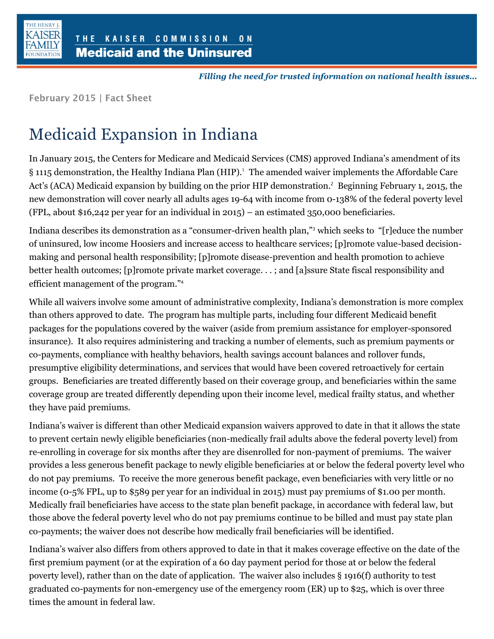

Filling the need for trusted information on national health issues...

**February 2015 | Fact Sheet** 

## Medicaid Expansion in Indiana

In January 2015, the Centers for Medicare and Medicaid Services (CMS) approved Indiana's amendment of its § 1115 demonstration, the Healthy Indiana Plan (HIP).<sup>1</sup> The amended waiver implements the Affordable Care Act's (ACA) Medicaid expansion by building on the prior HIP demonstration.<sup>2</sup> Beginning February 1, 2015, the new demonstration will cover nearly all adults ages 19-64 with income from 0-138% of the federal poverty level (FPL, about \$16,242 per year for an individual in 2015) – an estimated 350,000 beneficiaries.

Indiana describes its demonstration as a "consumer-driven health plan,"<sup>3</sup> which seeks to "[r]educe the number of uninsured, low income Hoosiers and increase access to healthcare services; [p]romote value-based decisionmaking and personal health responsibility; [p]romote disease-prevention and health promotion to achieve better health outcomes; [p]romote private market coverage. . . ; and [a]ssure State fiscal responsibility and efficient management of the program."<sup>4</sup>

While all waivers involve some amount of administrative complexity, Indiana's demonstration is more complex than others approved to date. The program has multiple parts, including four different Medicaid benefit packages for the populations covered by the waiver (aside from premium assistance for employer-sponsored insurance). It also requires administering and tracking a number of elements, such as premium payments or co-payments, compliance with healthy behaviors, health savings account balances and rollover funds, presumptive eligibility determinations, and services that would have been covered retroactively for certain groups. Beneficiaries are treated differently based on their coverage group, and beneficiaries within the same coverage group are treated differently depending upon their income level, medical frailty status, and whether they have paid premiums.

Indiana's waiver is different than other Medicaid expansion waivers approved to date in that it allows the state to prevent certain newly eligible beneficiaries (non-medically frail adults above the federal poverty level) from re-enrolling in coverage for six months after they are disenrolled for non-payment of premiums. The waiver provides a less generous benefit package to newly eligible beneficiaries at or below the federal poverty level who do not pay premiums. To receive the more generous benefit package, even beneficiaries with very little or no income (0-5% FPL, up to \$589 per year for an individual in 2015) must pay premiums of \$1.00 per month. Medically frail beneficiaries have access to the state plan benefit package, in accordance with federal law, but those above the federal poverty level who do not pay premiums continue to be billed and must pay state plan co-payments; the waiver does not describe how medically frail beneficiaries will be identified.

Indiana's waiver also differs from others approved to date in that it makes coverage effective on the date of the first premium payment (or at the expiration of a 60 day payment period for those at or below the federal poverty level), rather than on the date of application. The waiver also includes § 1916(f) authority to test graduated co-payments for non-emergency use of the emergency room (ER) up to \$25, which is over three times the amount in federal law.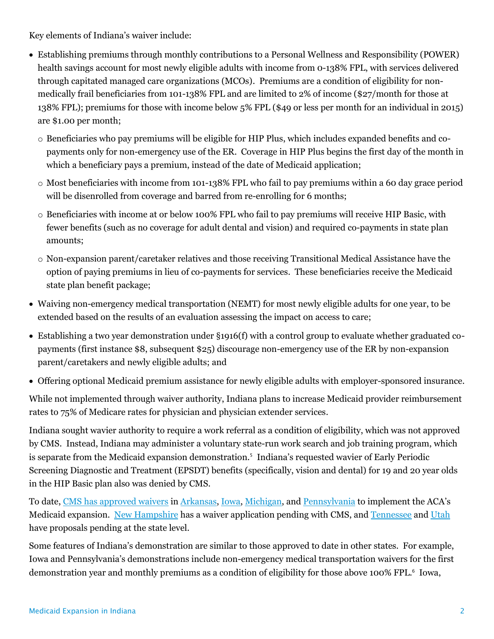Key elements of Indiana's waiver include:

- Establishing premiums through monthly contributions to a Personal Wellness and Responsibility (POWER) health savings account for most newly eligible adults with income from 0-138% FPL, with services delivered through capitated managed care organizations (MCOs). Premiums are a condition of eligibility for nonmedically frail beneficiaries from 101-138% FPL and are limited to 2% of income (\$27/month for those at 138% FPL); premiums for those with income below 5% FPL (\$49 or less per month for an individual in 2015) are \$1.00 per month;
	- o Beneficiaries who pay premiums will be eligible for HIP Plus, which includes expanded benefits and copayments only for non-emergency use of the ER. Coverage in HIP Plus begins the first day of the month in which a beneficiary pays a premium, instead of the date of Medicaid application;
	- $\circ$  Most beneficiaries with income from 101-138% FPL who fail to pay premiums within a 60 day grace period will be disenrolled from coverage and barred from re-enrolling for 6 months;
	- o Beneficiaries with income at or below 100% FPL who fail to pay premiums will receive HIP Basic, with fewer benefits (such as no coverage for adult dental and vision) and required co-payments in state plan amounts;
	- o Non-expansion parent/caretaker relatives and those receiving Transitional Medical Assistance have the option of paying premiums in lieu of co-payments for services. These beneficiaries receive the Medicaid state plan benefit package;
- Waiving non-emergency medical transportation (NEMT) for most newly eligible adults for one year, to be extended based on the results of an evaluation assessing the impact on access to care;
- Establishing a two year demonstration under §1916(f) with a control group to evaluate whether graduated copayments (first instance \$8, subsequent \$25) discourage non-emergency use of the ER by non-expansion parent/caretakers and newly eligible adults; and
- Offering optional Medicaid premium assistance for newly eligible adults with employer-sponsored insurance.

While not implemented through waiver authority, Indiana plans to increase Medicaid provider reimbursement rates to 75% of Medicare rates for physician and physician extender services.

Indiana sought wavier authority to require a work referral as a condition of eligibility, which was not approved by CMS. Instead, Indiana may administer a voluntary state-run work search and job training program, which is separate from the Medicaid expansion demonstration.<sup>5</sup> Indiana's requested wavier of Early Periodic Screening Diagnostic and Treatment (EPSDT) benefits (specifically, vision and dental) for 19 and 20 year olds in the HIP Basic plan also was denied by CMS.

To date, [CMS has approved waivers](http://kff.org/medicaid/issue-brief/the-aca-and-recent-section-1115-medicaid-demonstration-waivers/) i[n Arkansas,](http://kff.org/medicaid/fact-sheet/medicaid-expansion-in-arkansas/) [Iowa,](http://kff.org/medicaid/fact-sheet/medicaid-expansion-in-iowa/) [Michigan,](http://kff.org/medicaid/fact-sheet/medicaid-expansion-in-michigan/) and [Pennsylvania](http://kff.org/medicaid/fact-sheet/medicaid-expansion-in-pennsylvania/) to implement the ACA's Medicaid expansion. [New Hampshire](http://kff.org/search/?s=new+hampshire) has a waiver application pending with CMS, an[d Tennessee](http://kff.org/medicaid/fact-sheet/proposed-medicaid-expansion-in-tennessee/) and [Utah](http://kff.org/medicaid/fact-sheet/proposed-medicaid-expansion-in-utah/) have proposals pending at the state level.

Some features of Indiana's demonstration are similar to those approved to date in other states. For example, Iowa and Pennsylvania's demonstrations include non-emergency medical transportation waivers for the first demonstration year and monthly premiums as a condition of eligibility for those above 100% FPL.<sup>6</sup> Iowa,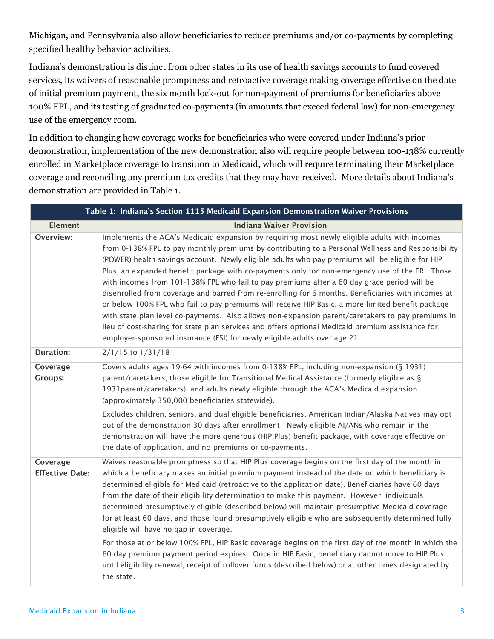Michigan, and Pennsylvania also allow beneficiaries to reduce premiums and/or co-payments by completing specified healthy behavior activities.

Indiana's demonstration is distinct from other states in its use of health savings accounts to fund covered services, its waivers of reasonable promptness and retroactive coverage making coverage effective on the date of initial premium payment, the six month lock-out for non-payment of premiums for beneficiaries above 100% FPL, and its testing of graduated co-payments (in amounts that exceed federal law) for non-emergency use of the emergency room.

In addition to changing how coverage works for beneficiaries who were covered under Indiana's prior demonstration, implementation of the new demonstration also will require people between 100-138% currently enrolled in Marketplace coverage to transition to Medicaid, which will require terminating their Marketplace coverage and reconciling any premium tax credits that they may have received. More details about Indiana's demonstration are provided in Table 1.

| Table 1: Indiana's Section 1115 Medicaid Expansion Demonstration Waiver Provisions |                                                                                                                                                                                                                                                                                                                                                                                                                                                                                                                                                                                                                                                                                                                                                                                                                                                                                                                                                                                                        |  |
|------------------------------------------------------------------------------------|--------------------------------------------------------------------------------------------------------------------------------------------------------------------------------------------------------------------------------------------------------------------------------------------------------------------------------------------------------------------------------------------------------------------------------------------------------------------------------------------------------------------------------------------------------------------------------------------------------------------------------------------------------------------------------------------------------------------------------------------------------------------------------------------------------------------------------------------------------------------------------------------------------------------------------------------------------------------------------------------------------|--|
| <b>Element</b>                                                                     | <b>Indiana Waiver Provision</b>                                                                                                                                                                                                                                                                                                                                                                                                                                                                                                                                                                                                                                                                                                                                                                                                                                                                                                                                                                        |  |
| Overview:                                                                          | Implements the ACA's Medicaid expansion by requiring most newly eligible adults with incomes<br>from 0-138% FPL to pay monthly premiums by contributing to a Personal Wellness and Responsibility<br>(POWER) health savings account. Newly eligible adults who pay premiums will be eligible for HIP<br>Plus, an expanded benefit package with co-payments only for non-emergency use of the ER. Those<br>with incomes from 101-138% FPL who fail to pay premiums after a 60 day grace period will be<br>disenrolled from coverage and barred from re-enrolling for 6 months. Beneficiaries with incomes at<br>or below 100% FPL who fail to pay premiums will receive HIP Basic, a more limited benefit package<br>with state plan level co-payments. Also allows non-expansion parent/caretakers to pay premiums in<br>lieu of cost-sharing for state plan services and offers optional Medicaid premium assistance for<br>employer-sponsored insurance (ESI) for newly eligible adults over age 21. |  |
| <b>Duration:</b>                                                                   | $2/1/15$ to $1/31/18$                                                                                                                                                                                                                                                                                                                                                                                                                                                                                                                                                                                                                                                                                                                                                                                                                                                                                                                                                                                  |  |
| Coverage<br><b>Groups:</b>                                                         | Covers adults ages 19-64 with incomes from 0-138% FPL, including non-expansion (§ 1931)<br>parent/caretakers, those eligible for Transitional Medical Assistance (formerly eligible as §<br>1931 parent/caretakers), and adults newly eligible through the ACA's Medicaid expansion<br>(approximately 350,000 beneficiaries statewide).<br>Excludes children, seniors, and dual eligible beneficiaries. American Indian/Alaska Natives may opt<br>out of the demonstration 30 days after enrollment. Newly eligible AI/ANs who remain in the<br>demonstration will have the more generous (HIP Plus) benefit package, with coverage effective on<br>the date of application, and no premiums or co-payments.                                                                                                                                                                                                                                                                                           |  |
| Coverage<br><b>Effective Date:</b>                                                 | Waives reasonable promptness so that HIP Plus coverage begins on the first day of the month in<br>which a beneficiary makes an initial premium payment instead of the date on which beneficiary is<br>determined eligible for Medicaid (retroactive to the application date). Beneficiaries have 60 days<br>from the date of their eligibility determination to make this payment. However, individuals<br>determined presumptively eligible (described below) will maintain presumptive Medicaid coverage<br>for at least 60 days, and those found presumptively eligible who are subsequently determined fully<br>eligible will have no gap in coverage.<br>For those at or below 100% FPL, HIP Basic coverage begins on the first day of the month in which the<br>60 day premium payment period expires. Once in HIP Basic, beneficiary cannot move to HIP Plus<br>until eligibility renewal, receipt of rollover funds (described below) or at other times designated by<br>the state.            |  |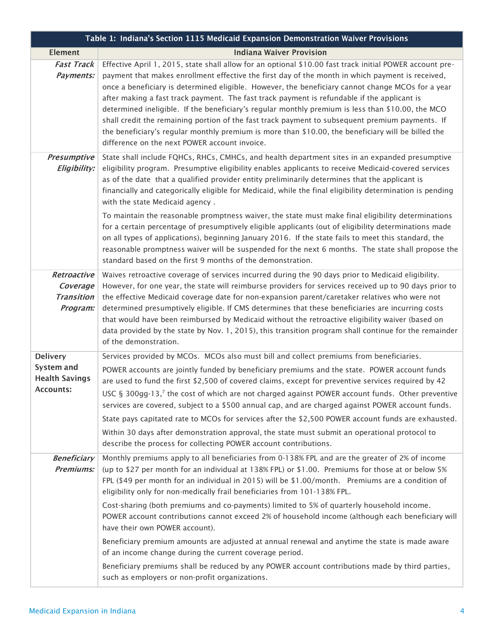| Table 1: Indiana's Section 1115 Medicaid Expansion Demonstration Waiver Provisions |                                                                                                                                                                                                                                                                                                                                                                                                                                                                                                                                                                                                                                                                                                                                                                                                                                                                                                                                                    |  |
|------------------------------------------------------------------------------------|----------------------------------------------------------------------------------------------------------------------------------------------------------------------------------------------------------------------------------------------------------------------------------------------------------------------------------------------------------------------------------------------------------------------------------------------------------------------------------------------------------------------------------------------------------------------------------------------------------------------------------------------------------------------------------------------------------------------------------------------------------------------------------------------------------------------------------------------------------------------------------------------------------------------------------------------------|--|
| <b>Element</b>                                                                     | <b>Indiana Waiver Provision</b>                                                                                                                                                                                                                                                                                                                                                                                                                                                                                                                                                                                                                                                                                                                                                                                                                                                                                                                    |  |
| <b>Fast Track</b><br>Payments:                                                     | Effective April 1, 2015, state shall allow for an optional \$10.00 fast track initial POWER account pre-<br>payment that makes enrollment effective the first day of the month in which payment is received,<br>once a beneficiary is determined eligible. However, the beneficiary cannot change MCOs for a year<br>after making a fast track payment. The fast track payment is refundable if the applicant is<br>determined ineligible. If the beneficiary's regular monthly premium is less than \$10.00, the MCO<br>shall credit the remaining portion of the fast track payment to subsequent premium payments. If<br>the beneficiary's regular monthly premium is more than \$10.00, the beneficiary will be billed the<br>difference on the next POWER account invoice.                                                                                                                                                                    |  |
| Presumptive<br>Eligibility:                                                        | State shall include FQHCs, RHCs, CMHCs, and health department sites in an expanded presumptive<br>eligibility program. Presumptive eligibility enables applicants to receive Medicaid-covered services<br>as of the date that a qualified provider entity preliminarily determines that the applicant is<br>financially and categorically eligible for Medicaid, while the final eligibility determination is pending<br>with the state Medicaid agency.<br>To maintain the reasonable promptness waiver, the state must make final eligibility determinations<br>for a certain percentage of presumptively eligible applicants (out of eligibility determinations made<br>on all types of applications), beginning January 2016. If the state fails to meet this standard, the<br>reasonable promptness waiver will be suspended for the next 6 months. The state shall propose the<br>standard based on the first 9 months of the demonstration. |  |
| Retroactive<br>Coverage<br><b>Transition</b><br>Program:                           | Waives retroactive coverage of services incurred during the 90 days prior to Medicaid eligibility.<br>However, for one year, the state will reimburse providers for services received up to 90 days prior to<br>the effective Medicaid coverage date for non-expansion parent/caretaker relatives who were not<br>determined presumptively eligible. If CMS determines that these beneficiaries are incurring costs<br>that would have been reimbursed by Medicaid without the retroactive eligibility waiver (based on<br>data provided by the state by Nov. 1, 2015), this transition program shall continue for the remainder<br>of the demonstration.                                                                                                                                                                                                                                                                                          |  |
| <b>Delivery</b><br><b>System and</b><br><b>Health Savings</b><br><b>Accounts:</b>  | Services provided by MCOs. MCOs also must bill and collect premiums from beneficiaries.<br>POWER accounts are jointly funded by beneficiary premiums and the state. POWER account funds<br>are used to fund the first \$2,500 of covered claims, except for preventive services required by 42<br>USC § 300gg-13,7 the cost of which are not charged against POWER account funds. Other preventive<br>services are covered, subject to a \$500 annual cap, and are charged against POWER account funds.<br>State pays capitated rate to MCOs for services after the \$2,500 POWER account funds are exhausted.<br>Within 30 days after demonstration approval, the state must submit an operational protocol to<br>describe the process for collecting POWER account contributions.                                                                                                                                                                |  |
| <b>Beneficiary</b><br><b>Premiums:</b>                                             | Monthly premiums apply to all beneficiaries from 0-138% FPL and are the greater of 2% of income<br>(up to \$27 per month for an individual at 138% FPL) or \$1.00. Premiums for those at or below 5%<br>FPL (\$49 per month for an individual in 2015) will be \$1.00/month. Premiums are a condition of<br>eligibility only for non-medically frail beneficiaries from 101-138% FPL.<br>Cost-sharing (both premiums and co-payments) limited to 5% of quarterly household income.<br>POWER account contributions cannot exceed 2% of household income (although each beneficiary will<br>have their own POWER account).<br>Beneficiary premium amounts are adjusted at annual renewal and anytime the state is made aware<br>of an income change during the current coverage period.<br>Beneficiary premiums shall be reduced by any POWER account contributions made by third parties,<br>such as employers or non-profit organizations.         |  |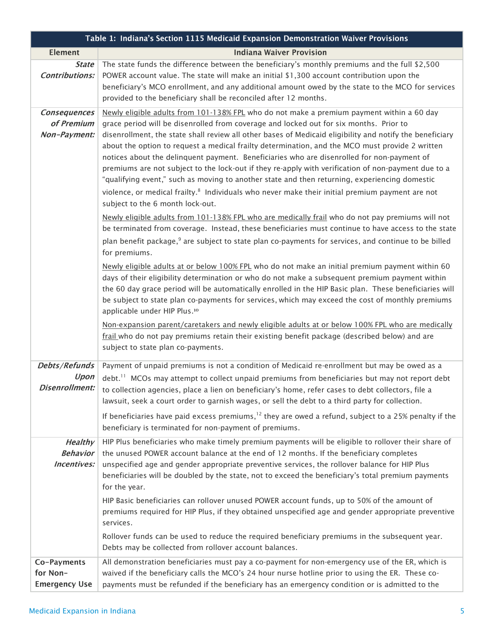| Table 1: Indiana's Section 1115 Medicaid Expansion Demonstration Waiver Provisions |                                                                                                                                                                                                                                                                                                                                                                                                                                                                                                                                                                                                                                                                                                                                                                                                                                                                                                                 |  |
|------------------------------------------------------------------------------------|-----------------------------------------------------------------------------------------------------------------------------------------------------------------------------------------------------------------------------------------------------------------------------------------------------------------------------------------------------------------------------------------------------------------------------------------------------------------------------------------------------------------------------------------------------------------------------------------------------------------------------------------------------------------------------------------------------------------------------------------------------------------------------------------------------------------------------------------------------------------------------------------------------------------|--|
| <b>Element</b>                                                                     | <b>Indiana Waiver Provision</b>                                                                                                                                                                                                                                                                                                                                                                                                                                                                                                                                                                                                                                                                                                                                                                                                                                                                                 |  |
| <b>State</b><br><b>Contributions:</b>                                              | The state funds the difference between the beneficiary's monthly premiums and the full \$2,500<br>POWER account value. The state will make an initial \$1,300 account contribution upon the<br>beneficiary's MCO enrollment, and any additional amount owed by the state to the MCO for services<br>provided to the beneficiary shall be reconciled after 12 months.                                                                                                                                                                                                                                                                                                                                                                                                                                                                                                                                            |  |
| Consequences<br>of Premium<br>Non-Payment:                                         | Newly eligible adults from 101-138% FPL who do not make a premium payment within a 60 day<br>grace period will be disenrolled from coverage and locked out for six months. Prior to<br>disenrollment, the state shall review all other bases of Medicaid eligibility and notify the beneficiary<br>about the option to request a medical frailty determination, and the MCO must provide 2 written<br>notices about the delinquent payment. Beneficiaries who are disenrolled for non-payment of<br>premiums are not subject to the lock-out if they re-apply with verification of non-payment due to a<br>"qualifying event," such as moving to another state and then returning, experiencing domestic<br>violence, or medical frailty. <sup>8</sup> Individuals who never make their initial premium payment are not<br>subject to the 6 month lock-out.                                                     |  |
|                                                                                    | Newly eligible adults from 101-138% FPL who are medically frail who do not pay premiums will not<br>be terminated from coverage. Instead, these beneficiaries must continue to have access to the state<br>plan benefit package, <sup>9</sup> are subject to state plan co-payments for services, and continue to be billed<br>for premiums.<br>Newly eligible adults at or below 100% FPL who do not make an initial premium payment within 60<br>days of their eligibility determination or who do not make a subsequent premium payment within<br>the 60 day grace period will be automatically enrolled in the HIP Basic plan. These beneficiaries will<br>be subject to state plan co-payments for services, which may exceed the cost of monthly premiums<br>applicable under HIP Plus. <sup>10</sup><br>Non-expansion parent/caretakers and newly eligible adults at or below 100% FPL who are medically |  |
|                                                                                    | frail who do not pay premiums retain their existing benefit package (described below) and are<br>subject to state plan co-payments.                                                                                                                                                                                                                                                                                                                                                                                                                                                                                                                                                                                                                                                                                                                                                                             |  |
| Debts/Refunds<br>Upon<br><b>Disenrollment:</b>                                     | Payment of unpaid premiums is not a condition of Medicaid re-enrollment but may be owed as a<br>debt. <sup>11</sup> MCOs may attempt to collect unpaid premiums from beneficiaries but may not report debt<br>to collection agencies, place a lien on beneficiary's home, refer cases to debt collectors, file a<br>lawsuit, seek a court order to garnish wages, or sell the debt to a third party for collection.                                                                                                                                                                                                                                                                                                                                                                                                                                                                                             |  |
|                                                                                    | If beneficiaries have paid excess premiums, $12$ they are owed a refund, subject to a 25% penalty if the<br>beneficiary is terminated for non-payment of premiums.                                                                                                                                                                                                                                                                                                                                                                                                                                                                                                                                                                                                                                                                                                                                              |  |
| <b>Healthy</b><br><b>Behavior</b><br>Incentives:                                   | HIP Plus beneficiaries who make timely premium payments will be eligible to rollover their share of<br>the unused POWER account balance at the end of 12 months. If the beneficiary completes<br>unspecified age and gender appropriate preventive services, the rollover balance for HIP Plus<br>beneficiaries will be doubled by the state, not to exceed the beneficiary's total premium payments<br>for the year.<br>HIP Basic beneficiaries can rollover unused POWER account funds, up to 50% of the amount of                                                                                                                                                                                                                                                                                                                                                                                            |  |
|                                                                                    | premiums required for HIP Plus, if they obtained unspecified age and gender appropriate preventive<br>services.<br>Rollover funds can be used to reduce the required beneficiary premiums in the subsequent year.<br>Debts may be collected from rollover account balances.                                                                                                                                                                                                                                                                                                                                                                                                                                                                                                                                                                                                                                     |  |
| Co-Payments                                                                        | All demonstration beneficiaries must pay a co-payment for non-emergency use of the ER, which is                                                                                                                                                                                                                                                                                                                                                                                                                                                                                                                                                                                                                                                                                                                                                                                                                 |  |
| for Non-<br><b>Emergency Use</b>                                                   | waived if the beneficiary calls the MCO's 24 hour nurse hotline prior to using the ER. These co-<br>payments must be refunded if the beneficiary has an emergency condition or is admitted to the                                                                                                                                                                                                                                                                                                                                                                                                                                                                                                                                                                                                                                                                                                               |  |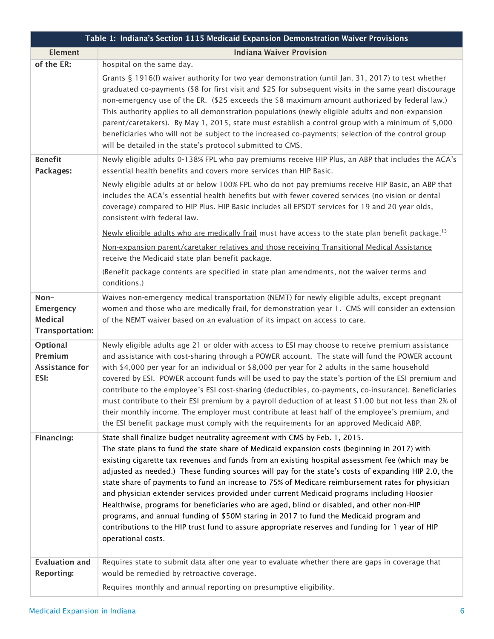| Table 1: Indiana's Section 1115 Medicaid Expansion Demonstration Waiver Provisions |                                                                                                                                                                                                                                                                                                                                                                                                                                                                                                                                                                                                                                                                                                                                                                                                                                                                                                                                                                                                                                                                                                                                                                                                                                                |  |
|------------------------------------------------------------------------------------|------------------------------------------------------------------------------------------------------------------------------------------------------------------------------------------------------------------------------------------------------------------------------------------------------------------------------------------------------------------------------------------------------------------------------------------------------------------------------------------------------------------------------------------------------------------------------------------------------------------------------------------------------------------------------------------------------------------------------------------------------------------------------------------------------------------------------------------------------------------------------------------------------------------------------------------------------------------------------------------------------------------------------------------------------------------------------------------------------------------------------------------------------------------------------------------------------------------------------------------------|--|
| <b>Element</b>                                                                     | <b>Indiana Waiver Provision</b>                                                                                                                                                                                                                                                                                                                                                                                                                                                                                                                                                                                                                                                                                                                                                                                                                                                                                                                                                                                                                                                                                                                                                                                                                |  |
| of the ER:<br><b>Benefit</b><br>Packages:                                          | hospital on the same day.<br>Grants § 1916(f) waiver authority for two year demonstration (until Jan. 31, 2017) to test whether<br>graduated co-payments (\$8 for first visit and \$25 for subsequent visits in the same year) discourage<br>non-emergency use of the ER. (\$25 exceeds the \$8 maximum amount authorized by federal law.)<br>This authority applies to all demonstration populations (newly eligible adults and non-expansion<br>parent/caretakers). By May 1, 2015, state must establish a control group with a minimum of 5,000<br>beneficiaries who will not be subject to the increased co-payments; selection of the control group<br>will be detailed in the state's protocol submitted to CMS.<br>Newly eligible adults 0-138% FPL who pay premiums receive HIP Plus, an ABP that includes the ACA's<br>essential health benefits and covers more services than HIP Basic.<br>Newly eligible adults at or below 100% FPL who do not pay premiums receive HIP Basic, an ABP that<br>includes the ACA's essential health benefits but with fewer covered services (no vision or dental<br>coverage) compared to HIP Plus. HIP Basic includes all EPSDT services for 19 and 20 year olds,<br>consistent with federal law. |  |
| Non-                                                                               | Newly eligible adults who are medically frail must have access to the state plan benefit package. <sup>13</sup><br>Non-expansion parent/caretaker relatives and those receiving Transitional Medical Assistance<br>receive the Medicaid state plan benefit package.<br>(Benefit package contents are specified in state plan amendments, not the waiver terms and<br>conditions.)<br>Waives non-emergency medical transportation (NEMT) for newly eligible adults, except pregnant                                                                                                                                                                                                                                                                                                                                                                                                                                                                                                                                                                                                                                                                                                                                                             |  |
| <b>Emergency</b><br><b>Medical</b><br><b>Transportation:</b>                       | women and those who are medically frail, for demonstration year 1. CMS will consider an extension<br>of the NEMT waiver based on an evaluation of its impact on access to care.                                                                                                                                                                                                                                                                                                                                                                                                                                                                                                                                                                                                                                                                                                                                                                                                                                                                                                                                                                                                                                                                |  |
| Optional<br>Premium<br><b>Assistance for</b><br>ESI:                               | Newly eligible adults age 21 or older with access to ESI may choose to receive premium assistance<br>and assistance with cost-sharing through a POWER account. The state will fund the POWER account<br>with \$4,000 per year for an individual or \$8,000 per year for 2 adults in the same household<br>covered by ESI. POWER account funds will be used to pay the state's portion of the ESI premium and<br>contribute to the employee's ESI cost-sharing (deductibles, co-payments, co-insurance). Beneficiaries<br>must contribute to their ESI premium by a payroll deduction of at least \$1.00 but not less than 2% of<br>their monthly income. The employer must contribute at least half of the employee's premium, and<br>the ESI benefit package must comply with the requirements for an approved Medicaid ABP.                                                                                                                                                                                                                                                                                                                                                                                                                  |  |
| Financing:                                                                         | State shall finalize budget neutrality agreement with CMS by Feb. 1, 2015.<br>The state plans to fund the state share of Medicaid expansion costs (beginning in 2017) with<br>existing cigarette tax revenues and funds from an existing hospital assessment fee (which may be<br>adjusted as needed.) These funding sources will pay for the state's costs of expanding HIP 2.0, the<br>state share of payments to fund an increase to 75% of Medicare reimbursement rates for physician<br>and physician extender services provided under current Medicaid programs including Hoosier<br>Healthwise, programs for beneficiaries who are aged, blind or disabled, and other non-HIP<br>programs, and annual funding of \$50M staring in 2017 to fund the Medicaid program and<br>contributions to the HIP trust fund to assure appropriate reserves and funding for 1 year of HIP<br>operational costs.                                                                                                                                                                                                                                                                                                                                       |  |
| <b>Evaluation and</b><br><b>Reporting:</b>                                         | Requires state to submit data after one year to evaluate whether there are gaps in coverage that<br>would be remedied by retroactive coverage.<br>Requires monthly and annual reporting on presumptive eligibility.                                                                                                                                                                                                                                                                                                                                                                                                                                                                                                                                                                                                                                                                                                                                                                                                                                                                                                                                                                                                                            |  |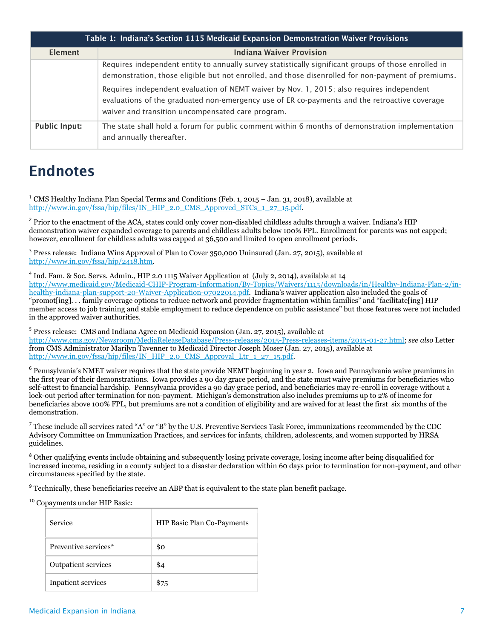| Table 1: Indiana's Section 1115 Medicaid Expansion Demonstration Waiver Provisions |                                                                                                                                                                                                                                                 |  |  |
|------------------------------------------------------------------------------------|-------------------------------------------------------------------------------------------------------------------------------------------------------------------------------------------------------------------------------------------------|--|--|
| <b>Element</b>                                                                     | <b>Indiana Waiver Provision</b>                                                                                                                                                                                                                 |  |  |
|                                                                                    | Requires independent entity to annually survey statistically significant groups of those enrolled in<br>demonstration, those eligible but not enrolled, and those disenrolled for non-payment of premiums.                                      |  |  |
|                                                                                    | Requires independent evaluation of NEMT waiver by Nov. 1, 2015; also requires independent<br>evaluations of the graduated non-emergency use of ER co-payments and the retroactive coverage<br>waiver and transition uncompensated care program. |  |  |
| <b>Public Input:</b>                                                               | The state shall hold a forum for public comment within 6 months of demonstration implementation<br>and annually thereafter.                                                                                                                     |  |  |

## **Endnotes**

 $\overline{a}$ 

<sup>2</sup> Prior to the enactment of the ACA, states could only cover non-disabled childless adults through a waiver. Indiana's HIP demonstration waiver expanded coverage to parents and childless adults below 100% FPL. Enrollment for parents was not capped; however, enrollment for childless adults was capped at 36,500 and limited to open enrollment periods.

<sup>3</sup> Press release: Indiana Wins Approval of Plan to Cover 350,000 Uninsured (Jan. 27, 2015), available at [http://www.in.gov/fssa/hip/2418.htm.](http://www.in.gov/fssa/hip/2418.htm) 

4 Ind. Fam. & Soc. Servs. Admin., HIP 2.0 1115 Waiver Application at (July 2, 2014), available at 14 [http://www.medicaid.gov/Medicaid-CHIP-Program-Information/By-Topics/Waivers/1115/downloads/in/Healthy-Indiana-Plan-2/in](http://www.medicaid.gov/Medicaid-CHIP-Program-Information/By-Topics/Waivers/1115/downloads/in/Healthy-Indiana-Plan-2/in-healthy-indiana-plan-support-20-Waiver-Application-07022014.pdf)[healthy-indiana-plan-support-20-Waiver-Application-07022014.pdf](http://www.medicaid.gov/Medicaid-CHIP-Program-Information/By-Topics/Waivers/1115/downloads/in/Healthy-Indiana-Plan-2/in-healthy-indiana-plan-support-20-Waiver-Application-07022014.pdf). Indiana's waiver application also included the goals of "promot[ing]. . . family coverage options to reduce network and provider fragmentation within families" and "facilitate[ing] HIP member access to job training and stable employment to reduce dependence on public assistance" but those features were not included in the approved waiver authorities.

<sup>5</sup> Press release: CMS and Indiana Agree on Medicaid Expansion (Jan. 27, 2015), available at [http://www.cms.gov/Newsroom/MediaReleaseDatabase/Press-releases/2015-Press-releases-items/2015-01-27.html;](http://www.cms.gov/Newsroom/MediaReleaseDatabase/Press-releases/2015-Press-releases-items/2015-01-27.html) *see also* Letter from CMS Administrator Marilyn Tavenner to Medicaid Director Joseph Moser (Jan. 27, 2015), available at [http://www.in.gov/fssa/hip/files/IN\\_HIP\\_2.0\\_CMS\\_Approval\\_Ltr\\_1\\_27\\_15.pdf.](http://www.in.gov/fssa/hip/files/IN_HIP_2.0_CMS_Approval_Ltr_1_27_15.pdf) 

<sup>6</sup> Pennsylvania's NMET waiver requires that the state provide NEMT beginning in year 2. Iowa and Pennsylvania waive premiums in the first year of their demonstrations. Iowa provides a 90 day grace period, and the state must waive premiums for beneficiaries who self-attest to financial hardship. Pennsylvania provides a 90 day grace period, and beneficiaries may re-enroll in coverage without a lock-out period after termination for non-payment. Michigan's demonstration also includes premiums up to 2% of income for beneficiaries above 100% FPL, but premiums are not a condition of eligibility and are waived for at least the first six months of the demonstration.

<sup>7</sup> These include all services rated "A" or "B" by the U.S. Preventive Services Task Force, immunizations recommended by the CDC Advisory Committee on Immunization Practices, and services for infants, children, adolescents, and women supported by HRSA guidelines.

<sup>8</sup> Other qualifying events include obtaining and subsequently losing private coverage, losing income after being disqualified for increased income, residing in a county subject to a disaster declaration within 60 days prior to termination for non-payment, and other circumstances specified by the state.

<sup>9</sup> Technically, these beneficiaries receive an ABP that is equivalent to the state plan benefit package.

<sup>10</sup> Copayments under HIP Basic:

| Service              | <b>HIP Basic Plan Co-Payments</b> |
|----------------------|-----------------------------------|
| Preventive services* | \$0                               |
| Outpatient services  | \$4                               |
| Inpatient services   | \$75                              |

<sup>&</sup>lt;sup>1</sup> CMS Healthy Indiana Plan Special Terms and Conditions (Feb. 1, 2015 – Jan. 31, 2018), available at [http://www.in.gov/fssa/hip/files/IN\\_HIP\\_2.0\\_CMS\\_Approved\\_STCs\\_1\\_27\\_15.pdf.](http://www.in.gov/fssa/hip/files/IN_HIP_2.0_CMS_Approved_STCs_1_27_15.pdf)